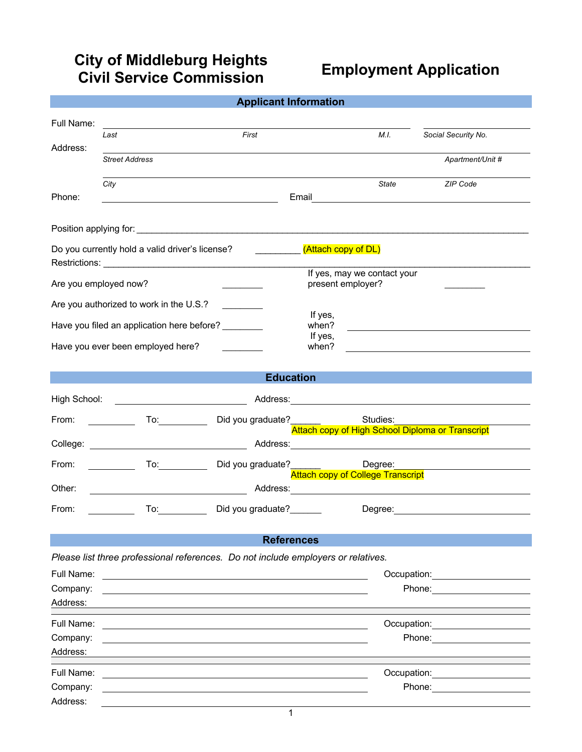# **City of Middleburg Heights Civil Service Commission Employment Application**

| <b>Applicant Information</b>               |                                                                                   |                                  |                                          |                             |                                                                                                                                                                                                                                |  |
|--------------------------------------------|-----------------------------------------------------------------------------------|----------------------------------|------------------------------------------|-----------------------------|--------------------------------------------------------------------------------------------------------------------------------------------------------------------------------------------------------------------------------|--|
| Full Name:                                 |                                                                                   |                                  |                                          |                             |                                                                                                                                                                                                                                |  |
|                                            | Last                                                                              | First                            |                                          | M.I.                        | Social Security No.                                                                                                                                                                                                            |  |
| Address:                                   | <b>Street Address</b>                                                             |                                  |                                          |                             | Apartment/Unit #                                                                                                                                                                                                               |  |
| Phone:                                     | City                                                                              |                                  |                                          | State                       | ZIP Code                                                                                                                                                                                                                       |  |
|                                            |                                                                                   |                                  | Email                                    |                             |                                                                                                                                                                                                                                |  |
|                                            |                                                                                   |                                  |                                          |                             |                                                                                                                                                                                                                                |  |
|                                            | Do you currently hold a valid driver's license?                                   |                                  | (Attach copy of DL)                      |                             |                                                                                                                                                                                                                                |  |
| Are you employed now?<br>present employer? |                                                                                   |                                  |                                          | If yes, may we contact your |                                                                                                                                                                                                                                |  |
|                                            | Are you authorized to work in the U.S.?                                           |                                  |                                          |                             |                                                                                                                                                                                                                                |  |
|                                            | Have you filed an application here before?                                        |                                  | If yes,<br>when?                         |                             | <u> 1989 - Johann Harry Harry Harry Harry Harry Harry Harry Harry Harry Harry Harry Harry Harry Harry Harry Harry</u>                                                                                                          |  |
|                                            | Have you ever been employed here?                                                 |                                  | If yes,<br>when?                         |                             |                                                                                                                                                                                                                                |  |
|                                            |                                                                                   |                                  |                                          |                             |                                                                                                                                                                                                                                |  |
|                                            |                                                                                   | <b>Education</b>                 |                                          |                             |                                                                                                                                                                                                                                |  |
| High School:                               | <u> 1990 - John Stone, amerikansk politiker (</u>                                 |                                  |                                          |                             |                                                                                                                                                                                                                                |  |
| From:                                      |                                                                                   | Did you graduate?______          |                                          | Studies:                    |                                                                                                                                                                                                                                |  |
|                                            |                                                                                   |                                  |                                          |                             | Attach copy of High School Diploma or Transcript                                                                                                                                                                               |  |
|                                            |                                                                                   |                                  |                                          |                             |                                                                                                                                                                                                                                |  |
| From:                                      |                                                                                   | To: Did you graduate?<br>Degree: | <b>Attach copy of College Transcript</b> |                             |                                                                                                                                                                                                                                |  |
| Other:                                     |                                                                                   |                                  |                                          |                             |                                                                                                                                                                                                                                |  |
| From:                                      | $\mathsf{To:}\qquad \qquad \qquad$                                                | Did you graduate?______          |                                          | Degree:                     |                                                                                                                                                                                                                                |  |
|                                            |                                                                                   | <b>References</b>                |                                          |                             |                                                                                                                                                                                                                                |  |
|                                            | Please list three professional references. Do not include employers or relatives. |                                  |                                          |                             |                                                                                                                                                                                                                                |  |
| Full Name:                                 |                                                                                   |                                  |                                          |                             | Occupation: <u>_________________</u>                                                                                                                                                                                           |  |
| Company:                                   |                                                                                   |                                  |                                          |                             | Phone: The contract of the contract of the contract of the contract of the contract of the contract of the contract of the contract of the contract of the contract of the contract of the contract of the contract of the con |  |
| Address:                                   |                                                                                   |                                  |                                          |                             |                                                                                                                                                                                                                                |  |
| Full Name:                                 |                                                                                   |                                  |                                          | Occupation:                 |                                                                                                                                                                                                                                |  |
| Company:                                   |                                                                                   |                                  |                                          |                             | Phone: The contract of the contract of the contract of the contract of the contract of the contract of the contract of the contract of the contract of the contract of the contract of the contract of the contract of the con |  |
| Address:                                   |                                                                                   |                                  |                                          |                             |                                                                                                                                                                                                                                |  |
| Full Name:                                 |                                                                                   |                                  |                                          | Occupation:                 |                                                                                                                                                                                                                                |  |
| Company:                                   |                                                                                   |                                  |                                          |                             | Phone:                                                                                                                                                                                                                         |  |
| Address:                                   |                                                                                   | $\overline{1}$                   |                                          |                             |                                                                                                                                                                                                                                |  |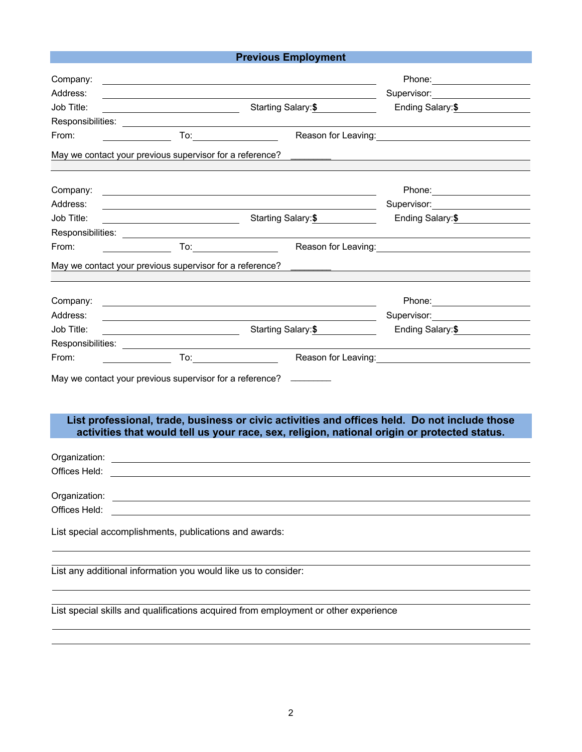## **Previous Employment**

| Company:                       | <u> 1989 - Johann John Stone, markin film yn y brening yn y brening yn y brening y brening yn y brening y brenin</u>                                                                                                           |                                                                                                                                                                                                                                      |                                                                                                                                                                                                                                        |  |
|--------------------------------|--------------------------------------------------------------------------------------------------------------------------------------------------------------------------------------------------------------------------------|--------------------------------------------------------------------------------------------------------------------------------------------------------------------------------------------------------------------------------------|----------------------------------------------------------------------------------------------------------------------------------------------------------------------------------------------------------------------------------------|--|
| Address:                       | Starting Salary:\$                                                                                                                                                                                                             |                                                                                                                                                                                                                                      | Supervisor: Victor Control of Control Control Control Control Control Control Control Control Control Control Co                                                                                                                       |  |
| Job Title:                     |                                                                                                                                                                                                                                |                                                                                                                                                                                                                                      | Ending Salary:\$                                                                                                                                                                                                                       |  |
|                                |                                                                                                                                                                                                                                |                                                                                                                                                                                                                                      |                                                                                                                                                                                                                                        |  |
| From:                          | To: _______________                                                                                                                                                                                                            |                                                                                                                                                                                                                                      | Reason for Leaving:<br><u>Next and the manual contract of the set of the set of the set of the set of the set of the set of the set of the set of the set of the set of the set of the set of the set of the set of the set of the</u> |  |
|                                | May we contact your previous supervisor for a reference?                                                                                                                                                                       |                                                                                                                                                                                                                                      |                                                                                                                                                                                                                                        |  |
| Company:                       |                                                                                                                                                                                                                                |                                                                                                                                                                                                                                      |                                                                                                                                                                                                                                        |  |
| Address:                       |                                                                                                                                                                                                                                |                                                                                                                                                                                                                                      | Supervisor: Supervisor:                                                                                                                                                                                                                |  |
| Job Title:                     |                                                                                                                                                                                                                                | Starting Salary:\$                                                                                                                                                                                                                   | Ending Salary: \$                                                                                                                                                                                                                      |  |
|                                | Responsibilities: Les and the service of the service of the service of the service of the service of the service of the service of the service of the service of the service of the service of the service of the service of t |                                                                                                                                                                                                                                      |                                                                                                                                                                                                                                        |  |
| From:                          |                                                                                                                                                                                                                                |                                                                                                                                                                                                                                      |                                                                                                                                                                                                                                        |  |
|                                | May we contact your previous supervisor for a reference?                                                                                                                                                                       |                                                                                                                                                                                                                                      |                                                                                                                                                                                                                                        |  |
| Company:                       |                                                                                                                                                                                                                                | <u> 1980 - Johann Harry Harry Harry Harry Harry Harry Harry Harry Harry Harry Harry Harry Harry Harry Harry Harry</u>                                                                                                                |                                                                                                                                                                                                                                        |  |
| Address:                       |                                                                                                                                                                                                                                | the contract of the contract of the contract of the contract of the contract of the contract of the contract of                                                                                                                      |                                                                                                                                                                                                                                        |  |
| Job Title:                     |                                                                                                                                                                                                                                |                                                                                                                                                                                                                                      | Ending Salary: \$                                                                                                                                                                                                                      |  |
|                                |                                                                                                                                                                                                                                |                                                                                                                                                                                                                                      |                                                                                                                                                                                                                                        |  |
| From:                          |                                                                                                                                                                                                                                | To: Reason for Leaving: To: Reason for Leaving:                                                                                                                                                                                      |                                                                                                                                                                                                                                        |  |
|                                | May we contact your previous supervisor for a reference? ________                                                                                                                                                              |                                                                                                                                                                                                                                      |                                                                                                                                                                                                                                        |  |
|                                |                                                                                                                                                                                                                                | List professional, trade, business or civic activities and offices held. Do not include those<br>activities that would tell us your race, sex, religion, national origin or protected status.                                        |                                                                                                                                                                                                                                        |  |
|                                |                                                                                                                                                                                                                                | Organization: <u>contract of the contract of the contract of the contract of the contract of the contract of the contract of the contract of the contract of the contract of the contract of the contract of the contract of the</u> |                                                                                                                                                                                                                                        |  |
| Offices Held:                  |                                                                                                                                                                                                                                | <u> 1989 - John Stein, Amerikaansk politiker (</u> † 1920)                                                                                                                                                                           |                                                                                                                                                                                                                                        |  |
| Organization:<br>Offices Held: |                                                                                                                                                                                                                                |                                                                                                                                                                                                                                      |                                                                                                                                                                                                                                        |  |
|                                | List special accomplishments, publications and awards:                                                                                                                                                                         |                                                                                                                                                                                                                                      |                                                                                                                                                                                                                                        |  |
|                                | List any additional information you would like us to consider:                                                                                                                                                                 |                                                                                                                                                                                                                                      |                                                                                                                                                                                                                                        |  |
|                                |                                                                                                                                                                                                                                | List special skills and qualifications acquired from employment or other experience                                                                                                                                                  |                                                                                                                                                                                                                                        |  |